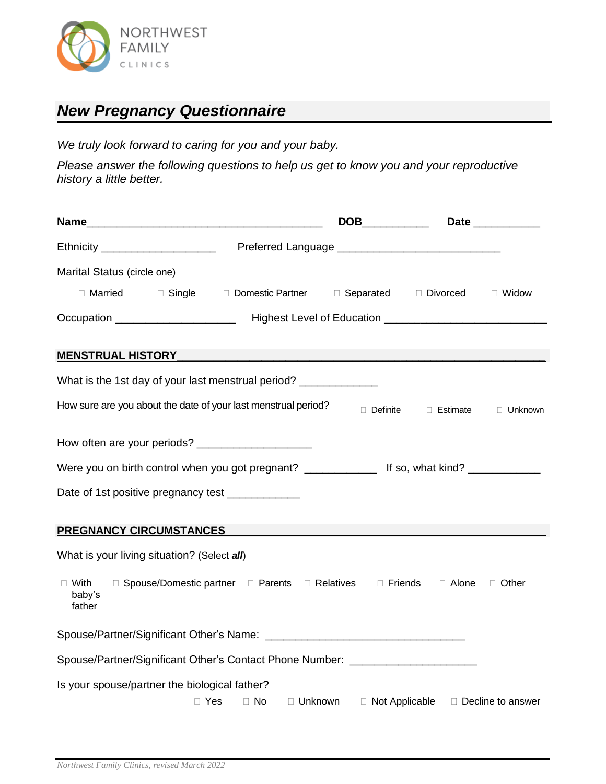

# *New Pregnancy Questionnaire*

*We truly look forward to caring for you and your baby.*

*Please answer the following questions to help us get to know you and your reproductive history a little better.* 

|                                               |            |                                                                   |                                                                                            |                                 | Date ___________ |
|-----------------------------------------------|------------|-------------------------------------------------------------------|--------------------------------------------------------------------------------------------|---------------------------------|------------------|
|                                               |            |                                                                   |                                                                                            |                                 |                  |
| Marital Status (circle one)                   |            |                                                                   |                                                                                            |                                 |                  |
|                                               |            |                                                                   | □ Married □ Single □ Domestic Partner □ Separated □ Divorced                               |                                 | □ Widow          |
|                                               |            |                                                                   |                                                                                            |                                 |                  |
| <u>MENSTRUAL HISTORY NEWSTANDALE</u>          |            |                                                                   |                                                                                            |                                 |                  |
|                                               |            | What is the 1st day of your last menstrual period? ______________ |                                                                                            |                                 |                  |
|                                               |            | How sure are you about the date of your last menstrual period?    |                                                                                            | □ Definite □ Estimate □ Unknown |                  |
|                                               |            | How often are your periods? _______________________               |                                                                                            |                                 |                  |
|                                               |            |                                                                   |                                                                                            |                                 |                  |
|                                               |            | Date of 1st positive pregnancy test ____________                  |                                                                                            |                                 |                  |
| <b>PREGNANCY CIRCUMSTANCES</b>                |            |                                                                   |                                                                                            |                                 |                  |
| What is your living situation? (Select all)   |            |                                                                   |                                                                                            |                                 |                  |
| $\Box$ With<br>baby's<br>father               |            |                                                                   | $\Box$ Spouse/Domestic partner $\Box$ Parents $\Box$ Relatives $\Box$ Friends $\Box$ Alone |                                 | $\Box$ Other     |
|                                               |            |                                                                   |                                                                                            |                                 |                  |
|                                               |            |                                                                   | Spouse/Partner/Significant Other's Contact Phone Number: _______________________           |                                 |                  |
| Is your spouse/partner the biological father? | $\Box$ Yes |                                                                   | $\Box$ No $\Box$ Unknown $\Box$ Not Applicable $\Box$ Decline to answer                    |                                 |                  |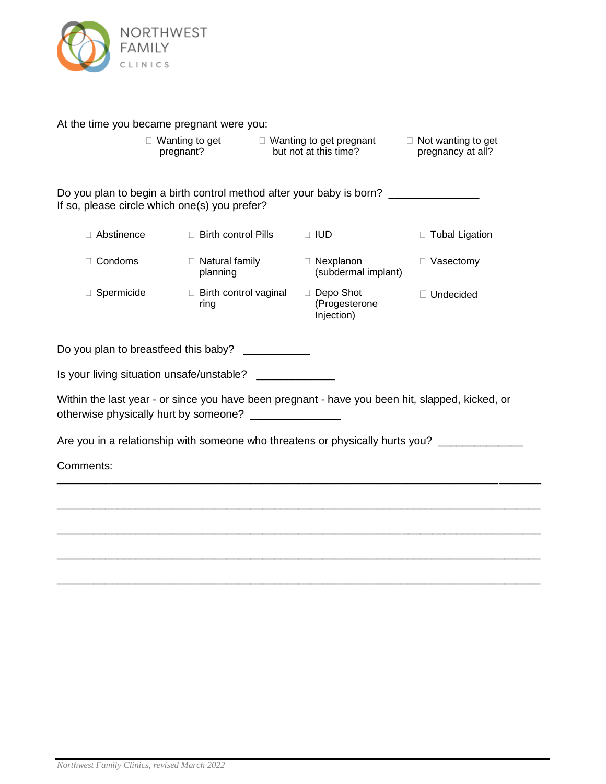

|  | At the time you became pregnant were you: |  |  |  |
|--|-------------------------------------------|--|--|--|
|--|-------------------------------------------|--|--|--|

|                                                                                                     | □ Wanting to get □ Wanting to get pregnant<br>pregnant?                                                                                                   | but not at this time?     |                     | $\Box$ Not wanting to get<br>pregnancy at all? |  |  |  |
|-----------------------------------------------------------------------------------------------------|-----------------------------------------------------------------------------------------------------------------------------------------------------------|---------------------------|---------------------|------------------------------------------------|--|--|--|
|                                                                                                     | Do you plan to begin a birth control method after your baby is born?<br>If so, please circle which one(s) you prefer?                                     |                           |                     |                                                |  |  |  |
| □ Abstinence                                                                                        | □ Birth control Pills                                                                                                                                     | $\Box$ IUD                |                     | □ Tubal Ligation                               |  |  |  |
| □ Condoms                                                                                           | $\Box$ Natural family<br>planning                                                                                                                         | □ Nexplanon               | (subdermal implant) | □ Vasectomy                                    |  |  |  |
| □ Spermicide                                                                                        | $\Box$ Birth control vaginal<br>ring                                                                                                                      | □ Depo Shot<br>Injection) | (Progesterone       | □ Undecided                                    |  |  |  |
| Do you plan to breastfeed this baby? __________                                                     |                                                                                                                                                           |                           |                     |                                                |  |  |  |
|                                                                                                     | Is your living situation unsafe/unstable? _____________                                                                                                   |                           |                     |                                                |  |  |  |
|                                                                                                     | Within the last year - or since you have been pregnant - have you been hit, slapped, kicked, or<br>otherwise physically hurt by someone? ________________ |                           |                     |                                                |  |  |  |
| Are you in a relationship with someone who threatens or physically hurts you? _____________________ |                                                                                                                                                           |                           |                     |                                                |  |  |  |
| Comments:                                                                                           |                                                                                                                                                           |                           |                     |                                                |  |  |  |
|                                                                                                     |                                                                                                                                                           |                           |                     |                                                |  |  |  |
|                                                                                                     |                                                                                                                                                           |                           |                     |                                                |  |  |  |
|                                                                                                     |                                                                                                                                                           |                           |                     |                                                |  |  |  |

\_\_\_\_\_\_\_\_\_\_\_\_\_\_\_\_\_\_\_\_\_\_\_\_\_\_\_\_\_\_\_\_\_\_\_\_\_\_\_\_\_\_\_\_\_\_\_\_\_\_\_\_\_\_\_\_\_\_\_\_\_\_\_\_\_\_\_\_\_\_\_\_\_\_\_\_\_\_\_\_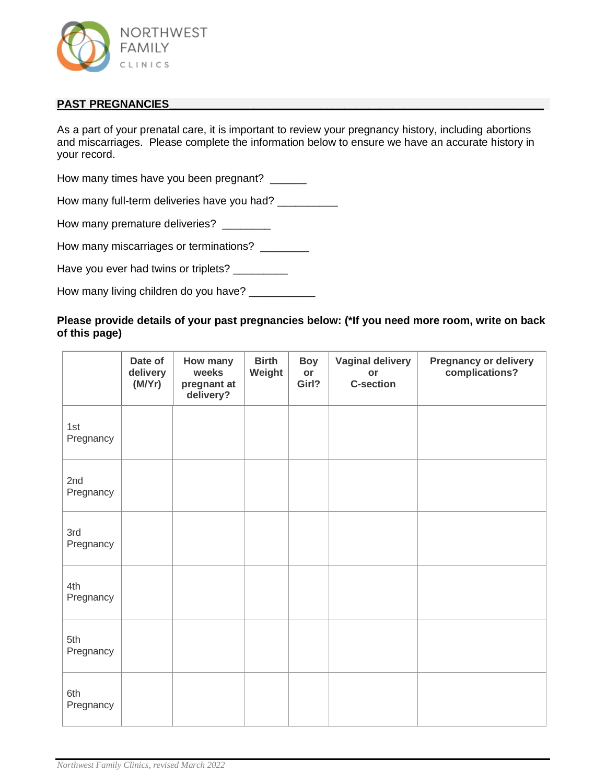

## **PAST PREGNANCIES\_\_\_\_\_\_\_\_\_\_\_\_\_\_\_\_\_\_\_\_\_\_\_\_\_\_\_\_\_\_\_\_\_\_\_\_\_\_\_\_\_\_\_\_\_\_\_\_\_\_\_\_\_\_\_\_\_\_\_\_\_\_**

As a part of your prenatal care, it is important to review your pregnancy history, including abortions and miscarriages. Please complete the information below to ensure we have an accurate history in your record.

How many times have you been pregnant? \_\_\_\_\_\_

How many full-term deliveries have you had? \_\_\_\_\_\_\_\_\_

How many premature deliveries? \_\_\_\_\_\_\_

How many miscarriages or terminations? \_\_\_\_\_\_\_\_

Have you ever had twins or triplets? \_\_\_\_\_\_\_\_\_

How many living children do you have? \_\_\_\_\_\_\_\_\_\_\_

## **Please provide details of your past pregnancies below: (\*If you need more room, write on back of this page)**

|                  | Date of<br>delivery<br>(M/Yr) | How many<br>weeks<br>pregnant at<br>delivery? | <b>Birth</b><br>Weight | <b>Boy</b><br>or<br>Girl? | <b>Vaginal delivery</b><br>or<br><b>C-section</b> | <b>Pregnancy or delivery</b><br>complications? |
|------------------|-------------------------------|-----------------------------------------------|------------------------|---------------------------|---------------------------------------------------|------------------------------------------------|
| 1st<br>Pregnancy |                               |                                               |                        |                           |                                                   |                                                |
| 2nd<br>Pregnancy |                               |                                               |                        |                           |                                                   |                                                |
| 3rd<br>Pregnancy |                               |                                               |                        |                           |                                                   |                                                |
| 4th<br>Pregnancy |                               |                                               |                        |                           |                                                   |                                                |
| 5th<br>Pregnancy |                               |                                               |                        |                           |                                                   |                                                |
| 6th<br>Pregnancy |                               |                                               |                        |                           |                                                   |                                                |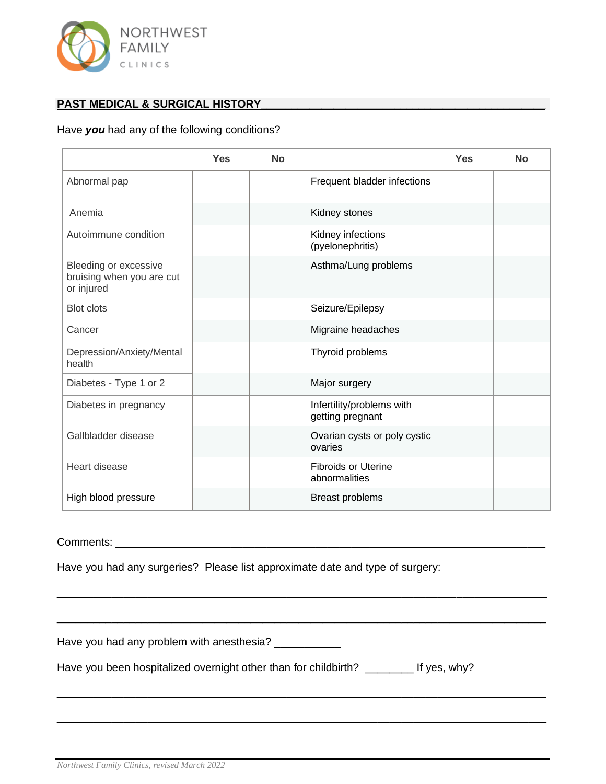

## **PAST MEDICAL & SURGICAL HISTORY\_\_\_\_\_\_\_\_\_\_\_\_\_\_\_\_\_\_\_\_\_\_\_\_\_\_\_\_\_\_\_\_\_\_\_\_\_\_\_\_\_\_\_\_\_\_\_**

#### Have *you* had any of the following conditions?

|                                                                  | <b>Yes</b> | <b>No</b> |                                               | <b>Yes</b> | <b>No</b> |
|------------------------------------------------------------------|------------|-----------|-----------------------------------------------|------------|-----------|
| Abnormal pap                                                     |            |           | Frequent bladder infections                   |            |           |
| Anemia                                                           |            |           | Kidney stones                                 |            |           |
| Autoimmune condition                                             |            |           | Kidney infections<br>(pyelonephritis)         |            |           |
| Bleeding or excessive<br>bruising when you are cut<br>or injured |            |           | Asthma/Lung problems                          |            |           |
| <b>Blot clots</b>                                                |            |           | Seizure/Epilepsy                              |            |           |
| Cancer                                                           |            |           | Migraine headaches                            |            |           |
| Depression/Anxiety/Mental<br>health                              |            |           | Thyroid problems                              |            |           |
| Diabetes - Type 1 or 2                                           |            |           | Major surgery                                 |            |           |
| Diabetes in pregnancy                                            |            |           | Infertility/problems with<br>getting pregnant |            |           |
| Gallbladder disease                                              |            |           | Ovarian cysts or poly cystic<br>ovaries       |            |           |
| Heart disease                                                    |            |           | <b>Fibroids or Uterine</b><br>abnormalities   |            |           |
| High blood pressure                                              |            |           | <b>Breast problems</b>                        |            |           |

Comments: \_\_\_\_\_\_\_\_\_\_\_\_\_\_\_\_\_\_\_\_\_\_\_\_\_\_\_\_\_\_\_\_\_\_\_\_\_\_\_\_\_\_\_\_\_\_\_\_\_\_\_\_\_\_\_\_\_\_\_\_\_\_\_\_\_\_\_\_\_\_\_

Have you had any surgeries? Please list approximate date and type of surgery:

Have you had any problem with anesthesia? \_\_\_\_\_\_\_\_\_\_

Have you been hospitalized overnight other than for childbirth? \_\_\_\_\_\_\_\_\_ If yes, why?

\_\_\_\_\_\_\_\_\_\_\_\_\_\_\_\_\_\_\_\_\_\_\_\_\_\_\_\_\_\_\_\_\_\_\_\_\_\_\_\_\_\_\_\_\_\_\_\_\_\_\_\_\_\_\_\_\_\_\_\_\_\_\_\_\_\_\_\_\_\_\_\_\_\_\_\_\_\_\_\_\_

\_\_\_\_\_\_\_\_\_\_\_\_\_\_\_\_\_\_\_\_\_\_\_\_\_\_\_\_\_\_\_\_\_\_\_\_\_\_\_\_\_\_\_\_\_\_\_\_\_\_\_\_\_\_\_\_\_\_\_\_\_\_\_\_\_\_\_\_\_\_\_\_\_\_\_\_\_\_\_\_\_

\_\_\_\_\_\_\_\_\_\_\_\_\_\_\_\_\_\_\_\_\_\_\_\_\_\_\_\_\_\_\_\_\_\_\_\_\_\_\_\_\_\_\_\_\_\_\_\_\_\_\_\_\_\_\_\_\_\_\_\_\_\_\_\_\_\_\_\_\_\_\_\_\_\_\_\_\_\_\_\_\_

\_\_\_\_\_\_\_\_\_\_\_\_\_\_\_\_\_\_\_\_\_\_\_\_\_\_\_\_\_\_\_\_\_\_\_\_\_\_\_\_\_\_\_\_\_\_\_\_\_\_\_\_\_\_\_\_\_\_\_\_\_\_\_\_\_\_\_\_\_\_\_\_\_\_\_\_\_\_\_\_\_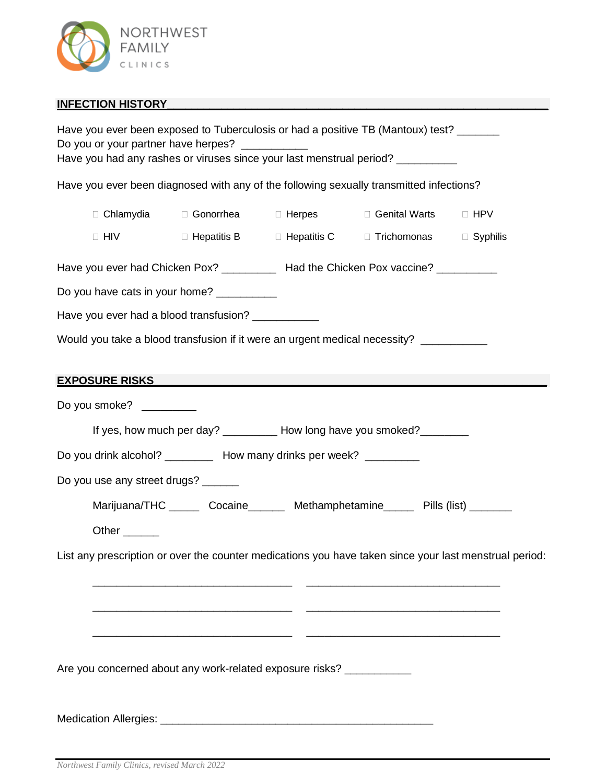

## **INFECTION HISTORY\_\_\_\_\_\_\_\_\_\_\_\_\_\_\_\_\_\_\_\_\_\_\_\_\_\_\_\_\_\_\_\_\_\_\_\_\_\_\_\_\_\_\_\_\_\_\_\_\_\_\_\_\_\_\_\_\_\_\_\_\_\_\_**

|                                     | Do you or your partner have herpes? ___________                      | Have you ever been exposed to Tuberculosis or had a positive TB (Mantoux) test? ______<br>Have you had any rashes or viruses since your last menstrual period? __________ |                                                                                                        |
|-------------------------------------|----------------------------------------------------------------------|---------------------------------------------------------------------------------------------------------------------------------------------------------------------------|--------------------------------------------------------------------------------------------------------|
|                                     |                                                                      | Have you ever been diagnosed with any of the following sexually transmitted infections?                                                                                   |                                                                                                        |
|                                     | □ Chlamydia □ Gonorrhea □ Herpes                                     | □ Genital Warts                                                                                                                                                           | $\Box$ HPV                                                                                             |
|                                     |                                                                      |                                                                                                                                                                           |                                                                                                        |
|                                     |                                                                      | Have you ever had Chicken Pox? __________ Had the Chicken Pox vaccine? _________                                                                                          |                                                                                                        |
|                                     | Do you have cats in your home? __________                            |                                                                                                                                                                           |                                                                                                        |
|                                     | Have you ever had a blood transfusion? ____________                  |                                                                                                                                                                           |                                                                                                        |
|                                     |                                                                      | Would you take a blood transfusion if it were an urgent medical necessity? __________                                                                                     |                                                                                                        |
|                                     |                                                                      |                                                                                                                                                                           |                                                                                                        |
| Do you smoke? _________             |                                                                      |                                                                                                                                                                           |                                                                                                        |
|                                     |                                                                      | If yes, how much per day? __________ How long have you smoked? ________                                                                                                   |                                                                                                        |
|                                     | Do you drink alcohol? _________ How many drinks per week? _________  |                                                                                                                                                                           |                                                                                                        |
| Do you use any street drugs? ______ |                                                                      |                                                                                                                                                                           |                                                                                                        |
|                                     |                                                                      | Marijuana/THC _______ Cocaine_______ Methamphetamine______ Pills (list) ________                                                                                          |                                                                                                        |
| Other $\_\_\_\_\_\_\$               |                                                                      |                                                                                                                                                                           |                                                                                                        |
|                                     |                                                                      |                                                                                                                                                                           | List any prescription or over the counter medications you have taken since your last menstrual period: |
|                                     | Are you concerned about any work-related exposure risks? ___________ |                                                                                                                                                                           |                                                                                                        |
|                                     |                                                                      |                                                                                                                                                                           |                                                                                                        |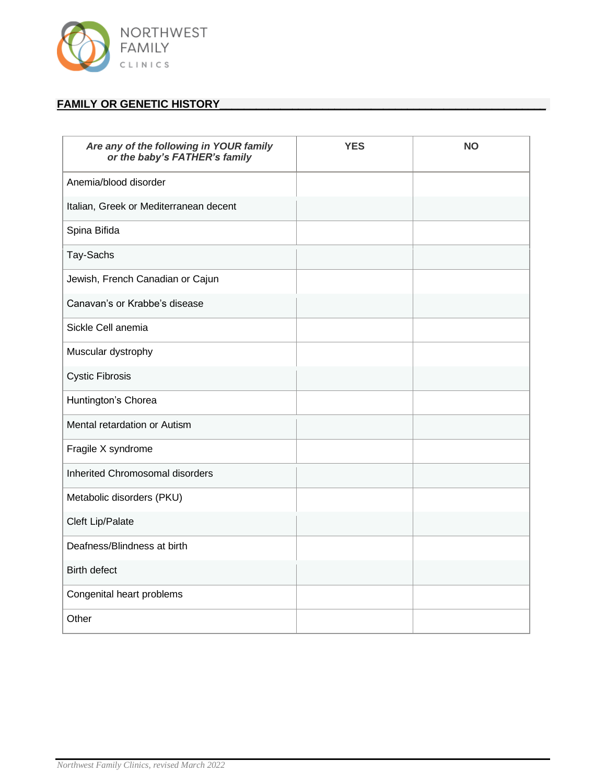

# **FAMILY OR GENETIC HISTORY\_\_\_\_\_\_\_\_\_\_\_\_\_\_\_\_\_\_\_\_\_\_\_\_\_\_\_\_\_\_\_\_\_\_\_\_\_\_\_\_\_\_\_\_\_\_\_\_\_\_\_\_\_\_**

| Are any of the following in YOUR family<br>or the baby's FATHER's family | <b>YES</b> | <b>NO</b> |
|--------------------------------------------------------------------------|------------|-----------|
| Anemia/blood disorder                                                    |            |           |
| Italian, Greek or Mediterranean decent                                   |            |           |
| Spina Bifida                                                             |            |           |
| Tay-Sachs                                                                |            |           |
| Jewish, French Canadian or Cajun                                         |            |           |
| Canavan's or Krabbe's disease                                            |            |           |
| Sickle Cell anemia                                                       |            |           |
| Muscular dystrophy                                                       |            |           |
| <b>Cystic Fibrosis</b>                                                   |            |           |
| Huntington's Chorea                                                      |            |           |
| Mental retardation or Autism                                             |            |           |
| Fragile X syndrome                                                       |            |           |
| Inherited Chromosomal disorders                                          |            |           |
| Metabolic disorders (PKU)                                                |            |           |
| Cleft Lip/Palate                                                         |            |           |
| Deafness/Blindness at birth                                              |            |           |
| <b>Birth defect</b>                                                      |            |           |
| Congenital heart problems                                                |            |           |
| Other                                                                    |            |           |